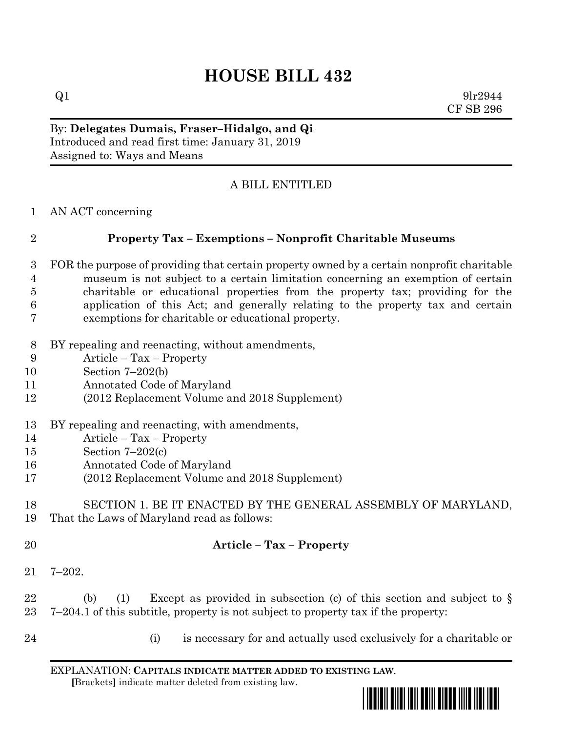# **HOUSE BILL 432**

 $Q1$  9lr2944 CF SB 296

By: **Delegates Dumais, Fraser–Hidalgo, and Qi** Introduced and read first time: January 31, 2019 Assigned to: Ways and Means

## A BILL ENTITLED

AN ACT concerning

## **Property Tax – Exemptions – Nonprofit Charitable Museums**

- FOR the purpose of providing that certain property owned by a certain nonprofit charitable museum is not subject to a certain limitation concerning an exemption of certain charitable or educational properties from the property tax; providing for the application of this Act; and generally relating to the property tax and certain exemptions for charitable or educational property.
- BY repealing and reenacting, without amendments,
- Article Tax Property
- Section 7–202(b)
- Annotated Code of Maryland
- (2012 Replacement Volume and 2018 Supplement)
- BY repealing and reenacting, with amendments,
- Article Tax Property
- Section 7–202(c)
- Annotated Code of Maryland
- (2012 Replacement Volume and 2018 Supplement)

#### SECTION 1. BE IT ENACTED BY THE GENERAL ASSEMBLY OF MARYLAND, That the Laws of Maryland read as follows:

### **Article – Tax – Property**

7–202.

22 (b) (1) Except as provided in subsection (c) of this section and subject to  $\S$ 7–204.1 of this subtitle, property is not subject to property tax if the property:

- 
- (i) is necessary for and actually used exclusively for a charitable or

EXPLANATION: **CAPITALS INDICATE MATTER ADDED TO EXISTING LAW**.  **[**Brackets**]** indicate matter deleted from existing law.